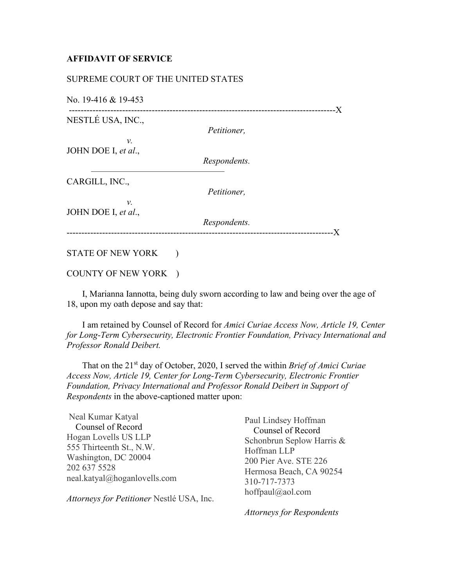## **AFFIDAVIT OF SERVICE**

## SUPREME COURT OF THE UNITED STATES

No. 19-416 & 19-453

------------------------------------------------------------------------------------------X NESTLÉ USA, INC., *Petitioner, v.* JOHN DOE I, *et al*., *Respondents.* –––––––––––––––––––––––––––––– CARGILL, INC., *Petitioner, v.* JOHN DOE I, *et al*., *Respondents.* ------------------------------------------------------------------------------------------X

## STATE OF NEW YORK )

COUNTY OF NEW YORK )

 I, Marianna Iannotta, being duly sworn according to law and being over the age of 18, upon my oath depose and say that:

 I am retained by Counsel of Record for *Amici Curiae Access Now, Article 19, Center for Long-Term Cybersecurity, Electronic Frontier Foundation, Privacy International and Professor Ronald Deibert.*

 That on the 21st day of October, 2020, I served the within *Brief of Amici Curiae Access Now, Article 19, Center for Long-Term Cybersecurity, Electronic Frontier Foundation, Privacy International and Professor Ronald Deibert in Support of Respondents* in the above-captioned matter upon:

Neal Kumar Katyal Counsel of Record Hogan Lovells US LLP 555 Thirteenth St., N.W. Washington, DC 20004 202 637 5528 neal.katyal@hoganlovells.com

*Attorneys for Petitioner* Nestlé USA, Inc.

Paul Lindsey Hoffman Counsel of Record Schonbrun Seplow Harris & Hoffman LLP 200 Pier Ave. STE 226 Hermosa Beach, CA 90254 310-717-7373 hoffpaul@aol.com

*Attorneys for Respondents*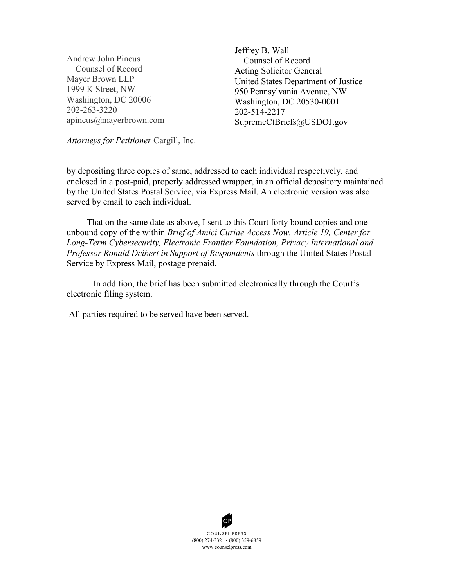Andrew John Pincus Counsel of Record Mayer Brown LLP 1999 K Street, NW Washington, DC 20006 202-263-3220 apincus@mayerbrown.com Jeffrey B. Wall Counsel of Record Acting Solicitor General United States Department of Justice 950 Pennsylvania Avenue, NW Washington, DC 20530-0001 202-514-2217 SupremeCtBriefs@USDOJ.gov

*Attorneys for Petitioner* Cargill, Inc.

by depositing three copies of same, addressed to each individual respectively, and enclosed in a post-paid, properly addressed wrapper, in an official depository maintained by the United States Postal Service, via Express Mail. An electronic version was also served by email to each individual.

 That on the same date as above, I sent to this Court forty bound copies and one unbound copy of the within *Brief of Amici Curiae Access Now, Article 19, Center for Long-Term Cybersecurity, Electronic Frontier Foundation, Privacy International and Professor Ronald Deibert in Support of Respondents* through the United States Postal Service by Express Mail, postage prepaid.

In addition, the brief has been submitted electronically through the Court's electronic filing system.

All parties required to be served have been served.



(800) 274 -3321 • (800) 359-6859 www.counselpress.com